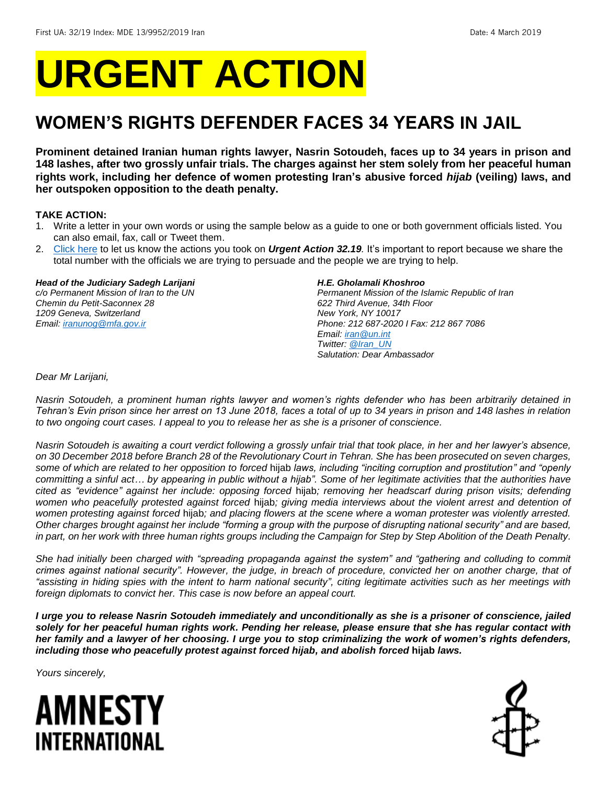# **URGENT ACTION**

## **WOMEN'S RIGHTS DEFENDER FACES 34 YEARS IN JAIL**

**Prominent detained Iranian human rights lawyer, Nasrin Sotoudeh, faces up to 34 years in prison and 148 lashes, after two grossly unfair trials. The charges against her stem solely from her peaceful human rights work, including her defence of women protesting Iran's abusive forced** *hijab* **(veiling) laws, and her outspoken opposition to the death penalty.** 

#### **TAKE ACTION:**

- 1. Write a letter in your own words or using the sample below as a guide to one or both government officials listed. You can also email, fax, call or Tweet them.
- 2. [Click here](https://www.amnestyusa.org/report-urgent-actions/) to let us know the actions you took on *Urgent Action 32.19.* It's important to report because we share the total number with the officials we are trying to persuade and the people we are trying to help.

#### *Head of the Judiciary Sadegh Larijani*

*c/o Permanent Mission of Iran to the UN Chemin du Petit-Saconnex 28 1209 Geneva, Switzerland Email[: iranunog@mfa.gov.ir](mailto:iranunog@mfa.gov.ir)*

#### *H.E. Gholamali Khoshroo*

*Permanent Mission of the Islamic Republic of Iran 622 Third Avenue, 34th Floor New York, NY 10017 Phone: 212 687-2020 I Fax: 212 867 7086 Email[: iran@un.int](mailto:iran@un.int) Twitter: [@Iran\\_UN](https://twitter.com/iran_un?lang=en) Salutation: Dear Ambassador*

*Dear Mr Larijani,*

*Nasrin Sotoudeh, a prominent human rights lawyer and women's rights defender who has been arbitrarily detained in Tehran's Evin prison since her arrest on 13 June 2018, faces a total of up to 34 years in prison and 148 lashes in relation to two ongoing court cases. I appeal to you to release her as she is a prisoner of conscience.*

*Nasrin Sotoudeh is awaiting a court verdict following a grossly unfair trial that took place, in her and her lawyer's absence, on 30 December 2018 before Branch 28 of the Revolutionary Court in Tehran. She has been prosecuted on seven charges, some of which are related to her opposition to forced* hijab *laws, including "inciting corruption and prostitution" and "openly committing a sinful act… by appearing in public without a hijab". Some of her legitimate activities that the authorities have cited as "evidence" against her include: opposing forced* hijab*; removing her headscarf during prison visits; defending women who peacefully protested against forced* hijab*; giving media interviews about the violent arrest and detention of women protesting against forced* hijab*; and placing flowers at the scene where a woman protester was violently arrested. Other charges brought against her include "forming a group with the purpose of disrupting national security" and are based, in part, on her work with three human rights groups including the Campaign for Step by Step Abolition of the Death Penalty.*

*She had initially been charged with "spreading propaganda against the system" and "gathering and colluding to commit crimes against national security". However, the judge, in breach of procedure, convicted her on another charge, that of "assisting in hiding spies with the intent to harm national security", citing legitimate activities such as her meetings with foreign diplomats to convict her. This case is now before an appeal court.* 

*I urge you to release Nasrin Sotoudeh immediately and unconditionally as she is a prisoner of conscience, jailed solely for her peaceful human rights work. Pending her release, please ensure that she has regular contact with her family and a lawyer of her choosing. I urge you to stop criminalizing the work of women's rights defenders, including those who peacefully protest against forced hijab, and abolish forced* **hijab** *laws.* 

*Yours sincerely,*